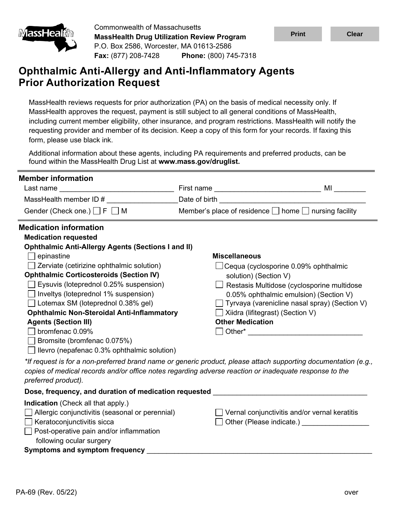

Commonwealth of Massachusetts **MassHealth Drug Utilization Review Program** P.O. Box 2586, Worcester, MA 01613-2586 **Fax:** (877) 208-7428 **Phone:** (800) 745-7318



# **Ophthalmic Anti-Allergy and Anti-Inflammatory Agents Prior Authorization Request**

MassHealth reviews requests for prior authorization (PA) on the basis of medical necessity only. If MassHealth approves the request, payment is still subject to all general conditions of MassHealth, including current member eligibility, other insurance, and program restrictions. MassHealth will notify the requesting provider and member of its decision. Keep a copy of this form for your records. If faxing this form, please use black ink.

Additional information about these agents, including PA requirements and preferred products, can be found within the MassHealth Drug List at **www.mass.gov/druglist.**

| <b>Member information</b>                                                                                                  |                                                                                                                                                                                                                           |                                                      |  |  |
|----------------------------------------------------------------------------------------------------------------------------|---------------------------------------------------------------------------------------------------------------------------------------------------------------------------------------------------------------------------|------------------------------------------------------|--|--|
| Last name<br><u> 1989 - Johann Barbara, martin da basar da basar da basar da basar da basar da basar da basar da basar</u> | MI                                                                                                                                                                                                                        |                                                      |  |  |
| MassHealth member ID #                                                                                                     | Date of birth <b>Date of birth</b>                                                                                                                                                                                        |                                                      |  |  |
| Gender (Check one.) $\Box$ F $\Box$ M                                                                                      | Member's place of residence □ home □ nursing facility                                                                                                                                                                     |                                                      |  |  |
| <b>Medication information</b>                                                                                              |                                                                                                                                                                                                                           |                                                      |  |  |
| <b>Medication requested</b>                                                                                                |                                                                                                                                                                                                                           |                                                      |  |  |
| <b>Ophthalmic Anti-Allergy Agents (Sections I and II)</b>                                                                  |                                                                                                                                                                                                                           |                                                      |  |  |
| epinastine                                                                                                                 | <b>Miscellaneous</b>                                                                                                                                                                                                      |                                                      |  |  |
| Zerviate (cetirizine ophthalmic solution)                                                                                  |                                                                                                                                                                                                                           |                                                      |  |  |
| <b>Ophthalmic Corticosteroids (Section IV)</b>                                                                             | solution) (Section V)                                                                                                                                                                                                     |                                                      |  |  |
| Eysuvis (loteprednol 0.25% suspension)                                                                                     |                                                                                                                                                                                                                           | Restasis Multidose (cyclosporine multidose           |  |  |
| $\Box$ Inveltys (loteprednol 1% suspension)                                                                                |                                                                                                                                                                                                                           | 0.05% ophthalmic emulsion) (Section V)               |  |  |
| $\Box$ Lotemax SM (loteprednol 0.38% gel)                                                                                  |                                                                                                                                                                                                                           | $\Box$ Tyrvaya (varenicline nasal spray) (Section V) |  |  |
| <b>Ophthalmic Non-Steroidal Anti-Inflammatory</b>                                                                          |                                                                                                                                                                                                                           | $\Box$ Xiidra (lifitegrast) (Section V)              |  |  |
| <b>Agents (Section III)</b>                                                                                                |                                                                                                                                                                                                                           | <b>Other Medication</b>                              |  |  |
| bromfenac 0.09%                                                                                                            |                                                                                                                                                                                                                           |                                                      |  |  |
|                                                                                                                            | Bromsite (bromfenac 0.075%)                                                                                                                                                                                               |                                                      |  |  |
| $\Box$ llevro (nepafenac 0.3% ophthalmic solution)                                                                         |                                                                                                                                                                                                                           |                                                      |  |  |
| preferred product).                                                                                                        | *If request is for a non-preferred brand name or generic product, please attach supporting documentation (e.g.,<br>copies of medical records and/or office notes regarding adverse reaction or inadequate response to the |                                                      |  |  |
| Dose, frequency, and duration of medication requested                                                                      |                                                                                                                                                                                                                           |                                                      |  |  |
| <b>Indication</b> (Check all that apply.)                                                                                  |                                                                                                                                                                                                                           |                                                      |  |  |
| Allergic conjunctivitis (seasonal or perennial)                                                                            | Vernal conjunctivitis and/or vernal keratitis                                                                                                                                                                             |                                                      |  |  |
| Keratoconjunctivitis sicca                                                                                                 | Other (Please indicate.)                                                                                                                                                                                                  |                                                      |  |  |
| Post-operative pain and/or inflammation                                                                                    |                                                                                                                                                                                                                           |                                                      |  |  |
| following ocular surgery                                                                                                   |                                                                                                                                                                                                                           |                                                      |  |  |
| <b>Symptoms and symptom frequency</b>                                                                                      |                                                                                                                                                                                                                           |                                                      |  |  |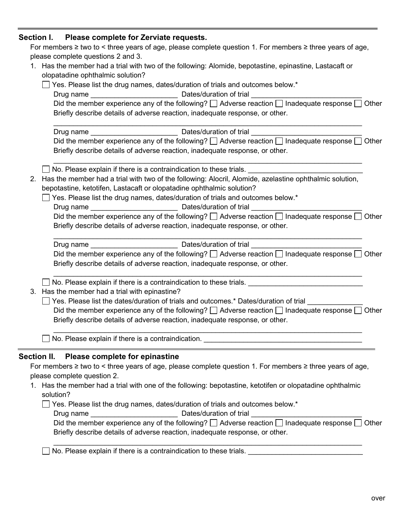## **Section I. Please complete for Zerviate requests.**

|    | For members $\geq$ two to < three years of age, please complete question 1. For members $\geq$ three years of age,<br>please complete questions 2 and 3.                                                                             |
|----|--------------------------------------------------------------------------------------------------------------------------------------------------------------------------------------------------------------------------------------|
|    | 1. Has the member had a trial with two of the following: Alomide, bepotastine, epinastine, Lastacaft or                                                                                                                              |
|    | olopatadine ophthalmic solution?                                                                                                                                                                                                     |
|    | Yes. Please list the drug names, dates/duration of trials and outcomes below.*                                                                                                                                                       |
|    |                                                                                                                                                                                                                                      |
|    | Did the member experience any of the following? $\Box$ Adverse reaction $\Box$ Inadequate response $\Box$ Other<br>Briefly describe details of adverse reaction, inadequate response, or other.                                      |
|    |                                                                                                                                                                                                                                      |
|    | Did the member experience any of the following? $\Box$ Adverse reaction $\Box$ Inadequate response $\Box$ Other<br>Briefly describe details of adverse reaction, inadequate response, or other.                                      |
|    | No. Please explain if there is a contraindication to these trials.                                                                                                                                                                   |
| 2. | Has the member had a trial with two of the following: Alocril, Alomide, azelastine ophthalmic solution,<br>bepotastine, ketotifen, Lastacaft or olopatadine ophthalmic solution?                                                     |
|    | Yes. Please list the drug names, dates/duration of trials and outcomes below.*                                                                                                                                                       |
|    |                                                                                                                                                                                                                                      |
|    | Did the member experience any of the following? $\Box$ Adverse reaction $\Box$ Inadequate response $\Box$ Other<br>Briefly describe details of adverse reaction, inadequate response, or other.                                      |
|    |                                                                                                                                                                                                                                      |
|    | Did the member experience any of the following? $\Box$ Adverse reaction $\Box$ Inadequate response $\Box$ Other<br>Briefly describe details of adverse reaction, inadequate response, or other.                                      |
|    | No. Please explain if there is a contraindication to these trials. _________________________________                                                                                                                                 |
|    | 3. Has the member had a trial with epinastine?                                                                                                                                                                                       |
|    | Yes. Please list the dates/duration of trials and outcomes.* Dates/duration of trial                                                                                                                                                 |
|    | Did the member experience any of the following? $\Box$ Adverse reaction $\Box$ Inadequate response $\Box$ Other                                                                                                                      |
|    | Briefly describe details of adverse reaction, inadequate response, or other.                                                                                                                                                         |
|    | No. Please explain if there is a contraindication. <u>Note that the contract of the set of the set of the set of the set of the set of the set of the set of the set of the set of the set of the set of the set of the set of t</u> |
|    | Please complete for epinastine<br>Section II.                                                                                                                                                                                        |
|    | For members $\geq$ two to < three years of age, please complete question 1. For members $\geq$ three years of age,                                                                                                                   |
|    | please complete question 2.<br>iel with one of the followings honotecting legatifies or elemetrating enhibelesia                                                                                                                     |
|    |                                                                                                                                                                                                                                      |

1. Has the member had a trial with one of the following: bepotastine, ketotifen or olopatadine ophthalmic solution?

□ Yes. Please list the drug names, dates/duration of trials and outcomes below.\*

Drug name \_\_\_\_\_\_\_\_\_\_\_\_\_\_\_\_\_\_\_\_\_\_ Dates/duration of trial \_\_\_\_\_\_\_\_\_\_\_\_\_\_\_\_\_\_\_\_\_\_\_\_\_\_\_\_

| Did the member experience any of the following? $\Box$ Adverse reaction $\Box$ Inadequate response $\Box$ Other |  |
|-----------------------------------------------------------------------------------------------------------------|--|
| Briefly describe details of adverse reaction, inadequate response, or other.                                    |  |

\_\_\_\_\_\_\_\_\_\_\_\_\_\_\_\_\_\_\_\_\_\_\_\_\_\_\_\_\_\_\_\_\_\_\_\_\_\_\_\_\_\_\_\_\_\_\_\_\_\_\_\_\_\_\_\_\_\_\_\_\_\_\_\_\_\_\_\_\_\_\_\_\_\_\_\_\_\_

No. Please explain if there is a contraindication to these trials. \_\_\_\_\_\_\_\_\_\_\_\_\_\_\_\_\_\_\_\_\_\_\_\_\_\_\_\_\_

**College**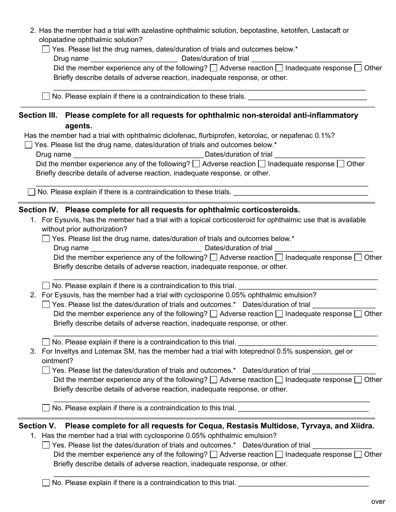|                                                                                                                                                                                                 | 2. Has the member had a trial with azelastine ophthalmic solution, bepotastine, ketotifen, Lastacaft or<br>olopatadine ophthalmic solution?                                                     |  |  |  |
|-------------------------------------------------------------------------------------------------------------------------------------------------------------------------------------------------|-------------------------------------------------------------------------------------------------------------------------------------------------------------------------------------------------|--|--|--|
|                                                                                                                                                                                                 | Yes. Please list the drug names, dates/duration of trials and outcomes below.*                                                                                                                  |  |  |  |
| Did the member experience any of the following? $\Box$ Adverse reaction $\Box$ Inadequate response $\Box$ Other<br>Briefly describe details of adverse reaction, inadequate response, or other. |                                                                                                                                                                                                 |  |  |  |
|                                                                                                                                                                                                 | No. Please explain if there is a contraindication to these trials.                                                                                                                              |  |  |  |
|                                                                                                                                                                                                 | Section III. Please complete for all requests for ophthalmic non-steroidal anti-inflammatory<br>agents.                                                                                         |  |  |  |
|                                                                                                                                                                                                 | Has the member had a trial with ophthalmic diclofenac, flurbiprofen, ketorolac, or nepafenac 0.1%?                                                                                              |  |  |  |
|                                                                                                                                                                                                 | Yes. Please list the drug name, dates/duration of trials and outcomes below.*                                                                                                                   |  |  |  |
|                                                                                                                                                                                                 | Dates/duration of trial<br><u> 1980 - Johann Barn, mars ar breithinn ar breithinn ar breithinn ar breithinn ar breithinn ar breithinn ar br</u><br>Drug name                                    |  |  |  |
|                                                                                                                                                                                                 | Did the member experience any of the following? $\Box$ Adverse reaction $\Box$ Inadequate response $\Box$ Other<br>Briefly describe details of adverse reaction, inadequate response, or other. |  |  |  |
|                                                                                                                                                                                                 | No. Please explain if there is a contraindication to these trials.                                                                                                                              |  |  |  |
|                                                                                                                                                                                                 | Section IV. Please complete for all requests for ophthalmic corticosteroids.                                                                                                                    |  |  |  |
|                                                                                                                                                                                                 | 1. For Eysuvis, has the member had a trial with a topical corticosteroid for ophthalmic use that is available<br>without prior authorization?                                                   |  |  |  |
|                                                                                                                                                                                                 | $\Box$ Yes. Please list the drug name, dates/duration of trials and outcomes below.*                                                                                                            |  |  |  |
|                                                                                                                                                                                                 |                                                                                                                                                                                                 |  |  |  |
|                                                                                                                                                                                                 | Did the member experience any of the following? $\Box$ Adverse reaction $\Box$ Inadequate response $\Box$ Other                                                                                 |  |  |  |
|                                                                                                                                                                                                 |                                                                                                                                                                                                 |  |  |  |
|                                                                                                                                                                                                 | Briefly describe details of adverse reaction, inadequate response, or other.                                                                                                                    |  |  |  |
|                                                                                                                                                                                                 | No. Please explain if there is a contraindication to this trial.                                                                                                                                |  |  |  |
|                                                                                                                                                                                                 | 2. For Eysuvis, has the member had a trial with cyclosporine 0.05% ophthalmic emulsion?                                                                                                         |  |  |  |
|                                                                                                                                                                                                 | Yes. Please list the dates/duration of trials and outcomes.* Dates/duration of trial                                                                                                            |  |  |  |
|                                                                                                                                                                                                 | Did the member experience any of the following? $\Box$ Adverse reaction $\Box$ Inadequate response $\Box$ Other<br>Briefly describe details of adverse reaction, inadequate response, or other. |  |  |  |
|                                                                                                                                                                                                 | No. Please explain if there is a contraindication to this trial.                                                                                                                                |  |  |  |
|                                                                                                                                                                                                 | 3. For Inveltys and Lotemax SM, has the member had a trial with loteprednol 0.5% suspension, gel or<br>ointment?                                                                                |  |  |  |
|                                                                                                                                                                                                 | Yes. Please list the dates/duration of trials and outcomes.* Dates/duration of trial                                                                                                            |  |  |  |
|                                                                                                                                                                                                 | Did the member experience any of the following? $\Box$ Adverse reaction $\Box$ Inadequate response $\Box$ Other<br>Briefly describe details of adverse reaction, inadequate response, or other. |  |  |  |

□ Yes. Please list the dates/duration of trials and outcomes.\* Dates/duration of trial Did the member experience any of the following?  $\Box$  Adverse reaction  $\Box$  Inadequate response  $\Box$  Other Briefly describe details of adverse reaction, inadequate response, or other.

 $\_$  , and the set of the set of the set of the set of the set of the set of the set of the set of the set of the set of the set of the set of the set of the set of the set of the set of the set of the set of the set of th